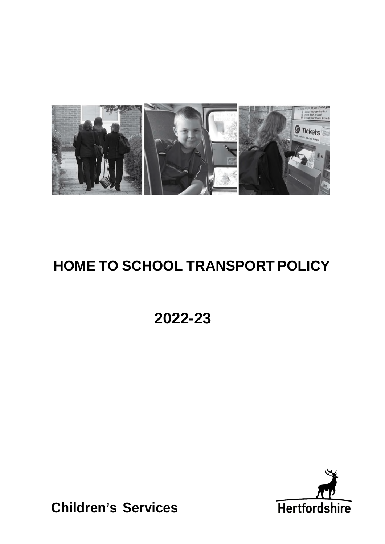

# **HOME TO SCHOOL TRANSPORT POLICY**

**2022-23** 



**Children's Services**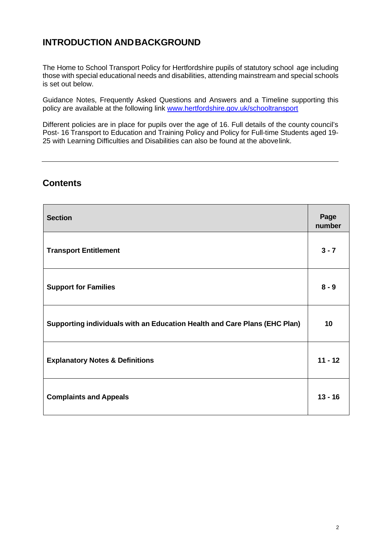# **INTRODUCTION ANDBACKGROUND**

 The Home to School Transport Policy for Hertfordshire pupils of statutory school age including those with special educational needs and disabilities, attending mainstream and special schools is set out below.

 Guidance Notes, Frequently Asked Questions and Answers and a Timeline supporting this policy are available at the following link www.hertfordshire.gov.uk/schooltransport

 Different policies are in place for pupils over the age of 16. Full details of the county council's Post- 16 Transport to Education and Training Policy and Policy for Full-time Students aged 19- 25 with Learning Difficulties and Disabilities can also be found at the abovelink.

# **Contents**

| <b>Section</b>                                                            | Page<br>number |
|---------------------------------------------------------------------------|----------------|
| <b>Transport Entitlement</b>                                              | $3 - 7$        |
| <b>Support for Families</b>                                               | $8 - 9$        |
| Supporting individuals with an Education Health and Care Plans (EHC Plan) | 10             |
| <b>Explanatory Notes &amp; Definitions</b>                                | $11 - 12$      |
| <b>Complaints and Appeals</b>                                             | $13 - 16$      |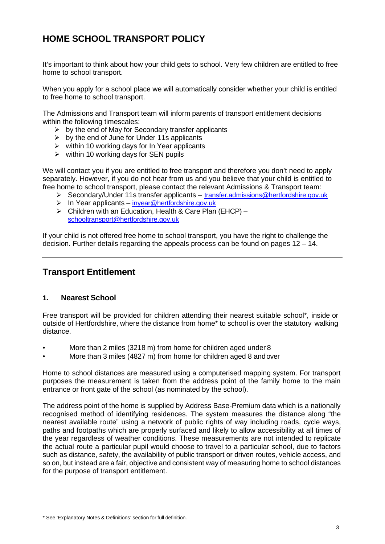# **HOME SCHOOL TRANSPORT POLICY**

 It's important to think about how your child gets to school. Very few children are entitled to free home to school transport.

 When you apply for a school place we will automatically consider whether your child is entitled to free home to school transport.

 The Admissions and Transport team will inform parents of transport entitlement decisions within the following timescales:

- $\triangleright$  by the end of May for Secondary transfer applicants
- $\triangleright$  by the end of June for Under 11s applicants
- $\triangleright$  within 10 working days for In Year applicants
- $\triangleright$  within 10 working days for SEN pupils

 We will contact you if you are entitled to free transport and therefore you don't need to apply separately. However, if you do not hear from us and you believe that your child is entitled to free home to school transport, please contact the relevant Admissions & Transport team:

- Secondary/Under 11s transfer applicants transfer.admissions@hertfordshire.gov.uk
- $\triangleright$  In Year applicants inyear@hertfordshire.gov.uk
- $\triangleright$  Children with an Education, Health & Care Plan (EHCP) [schooltransport@hertfordshire.gov.uk](mailto:schooltransport@hertfordshire.gov.uk)

 If your child is not offered free home to school transport, you have the right to challenge the decision. Further details regarding the appeals process can be found on pages 12 – 14.

## **Transport Entitlement**

### **1. Nearest School**

 Free transport will be provided for children attending their nearest suitable school\*, inside or outside of Hertfordshire, where the distance from home\* to school is over the statutory walking distance.

- More than 2 miles (3218 m) from home for children aged under 8
- More than 3 miles (4827 m) from home for children aged 8 andover

 Home to school distances are measured using a computerised mapping system. For transport purposes the measurement is taken from the address point of the family home to the main entrance or front gate of the school (as nominated by the school).

 The address point of the home is supplied by Address Base-Premium data which is a nationally recognised method of identifying residences. The system measures the distance along "the nearest available route" using a network of public rights of way including roads, cycle ways, paths and footpaths which are properly surfaced and likely to allow accessibility at all times of the year regardless of weather conditions. These measurements are not intended to replicate the actual route a particular pupil would choose to travel to a particular school, due to factors such as distance, safety, the availability of public transport or driven routes, vehicle access, and so on, but instead are a fair, objective and consistent way of measuring home to school distances for the purpose of transport entitlement.

 \* See 'Explanatory Notes & Definitions' section for full definition.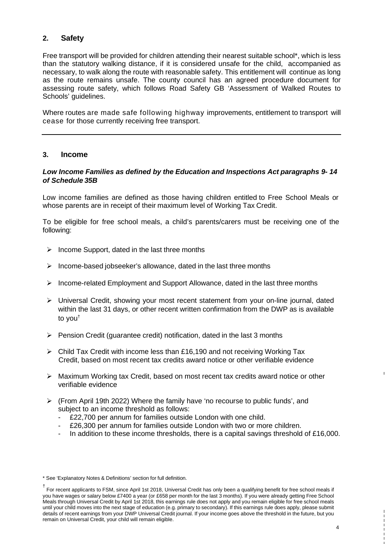### **2. Safety**

 Free transport will be provided for children attending their nearest suitable school\*, which is less than the statutory walking distance, if it is considered unsafe for the child, accompanied as necessary, to walk along the route with reasonable safety. This entitlement will continue as long as the route remains unsafe. The county council has an agreed procedure document for assessing route safety, which follows Road Safety GB 'Assessment of Walked Routes to Schools' guidelines.

 Where routes are made safe following highway improvements, entitlement to transport will cease for those currently receiving free transport.

### **3. Income**

### *Low Income Families as defined by the Education and Inspections Act paragraphs 9- 14 of Schedule 35B*

 Low income families are defined as those having children entitled to Free School Meals or whose parents are in receipt of their maximum level of Working Tax Credit.

 To be eligible for free school meals, a child's parents/carers must be receiving one of the following:

- $\triangleright$  Income Support, dated in the last three months
- $\triangleright$  Income-based jobseeker's allowance, dated in the last three months
- $\triangleright$  Income-related Employment and Support Allowance, dated in the last three months
- Universal Credit, showing your most recent statement from your on-line journal, dated within the last 31 days, or other recent written confirmation from the DWP as is available to you†
- $\triangleright$  Pension Credit (guarantee credit) notification, dated in the last 3 months
- $\triangleright$  Child Tax Credit with income less than £16,190 and not receiving Working Tax Credit, based on most recent tax credits award notice or other verifiable evidence
- Maximum Working tax Credit, based on most recent tax credits award notice or other verifiable evidence
- (From April 19th 2022) Where the family have 'no recourse to public funds', and subject to an income threshold as follows:
	- £22,700 per annum for families outside London with one child.
	- £26,300 per annum for families outside London with two or more children.
	- In addition to these income thresholds, there is a capital savings threshold of  $£16,000$ .

 \* See 'Explanatory Notes & Definitions' section for full definition.

 † For recent applicants to FSM, since April 1st 2018, Universal Credit has only been a qualifying benefit for free school meals if until your child moves into the next stage of education (e.g. primary to secondary). If this earnings rule does apply, please submit details of recent earnings from your DWP Universal Credit journal. If your income goes above the threshold in the future, but you remain on Universal Credit, your child will remain eligible. you have wages or salary below £7400 a year (or £658 per month for the last 3 months). If you were already getting Free School Meals through Universal Credit by April 1st 2018, this earnings rule does not apply and you remain eligible for free school meals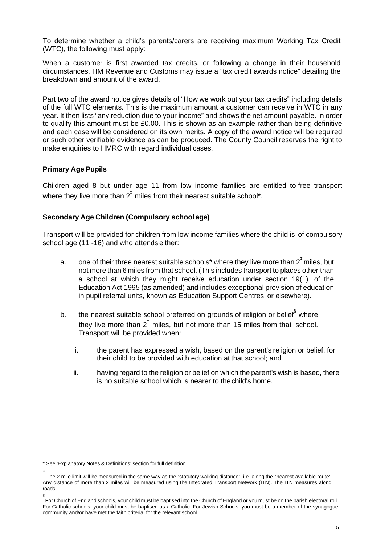To determine whether a child's parents/carers are receiving maximum Working Tax Credit (WTC), the following must apply:

 When a customer is first awarded tax credits, or following a change in their household circumstances, HM Revenue and Customs may issue a "tax credit awards notice" detailing the breakdown and amount of the award.

 Part two of the award notice gives details of "How we work out your tax credits" including details of the full WTC elements. This is the maximum amount a customer can receive in WTC in any year. It then lists "any reduction due to your income" and shows the net amount payable. In order to qualify this amount must be £0.00. This is shown as an example rather than being definitive and each case will be considered on its own merits. A copy of the award notice will be required or such other verifiable evidence as can be produced. The County Council reserves the right to make enquiries to HMRC with regard individual cases.

### **Primary Age Pupils**

 Children aged 8 but under age 11 from low income families are entitled to free transport where they live more than  $2^{\ddagger}$  miles from their nearest suitable school\*.

### **Secondary Age Children (Compulsory school age)**

 Transport will be provided for children from low income families where the child is of compulsory school age (11 -16) and who attends either:

- $a<sub>z</sub>$  not more than 6 miles from that school. (This includes transport to places other than a school at which they might receive education under section 19(1) of the Education Act 1995 (as amended) and includes exceptional provision of education in pupil referral units, known as Education Support Centres or elsewhere). one of their three nearest suitable schools\* where they live more than  $2<sup>‡</sup>$  miles, but
- $b<sub>1</sub>$ they live more than  $2^{\ddagger}$  miles, but not more than 15 miles from that school. Transport will be provided when: the nearest suitable school preferred on grounds of religion or belief<sup>§</sup> where
	- i. their child to be provided with education at that school; and the parent has expressed a wish, based on the parent's religion or belief, for
	- ii. having regard to the religion or belief on which the parent's wish is based, there is no suitable school which is nearer to thechild's home.

 \* See 'Explanatory Notes & Definitions' section for full definition.

 The 2 mile limit will be measured in the same way as the "statutory walking distance", i.e. along the 'nearest available route'. Any distance of more than 2 miles will be measured using the Integrated Transport Network (ITN). The ITN measures along ‡ roads.

 § For Church of England schools, your child must be baptised into the Church of England or you must be on the parish electoral roll. For Catholic schools, your child must be baptised as a Catholic. For Jewish Schools, you must be a member of the synagogue community and/or have met the faith criteria for the relevant school.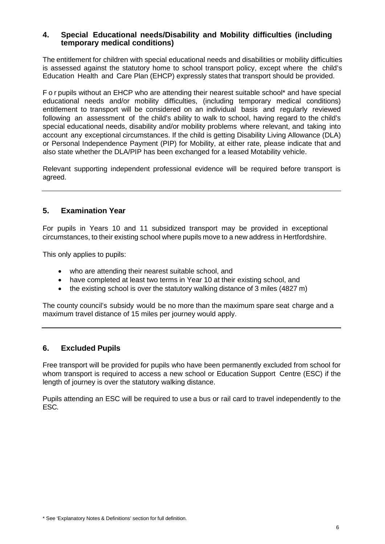#### **temporary medical conditions) 4. Special Educational needs/Disability and Mobility difficulties (including**

 The entitlement for children with special educational needs and disabilities or mobility difficulties is assessed against the statutory home to school transport policy, except where the child's Education Health and Care Plan (EHCP) expressly states that transport should be provided.

 F o r pupils without an EHCP who are attending their nearest suitable school\* and have special educational needs and/or mobility difficulties, (including temporary medical conditions) entitlement to transport will be considered on an individual basis and regularly reviewed following an assessment of the child's ability to walk to school, having regard to the child's special educational needs, disability and/or mobility problems where relevant, and taking into account any exceptional circumstances. If the child is getting Disability Living Allowance (DLA) or Personal Independence Payment (PIP) for Mobility, at either rate, please indicate that and also state whether the DLA/PIP has been exchanged for a leased Motability vehicle.

 Relevant supporting independent professional evidence will be required before transport is agreed.

### **5. Examination Year**

 For pupils in Years 10 and 11 subsidized transport may be provided in exceptional circumstances, to their existing school where pupils move to a new address in Hertfordshire.

This only applies to pupils:

- who are attending their nearest suitable school, and
- have completed at least two terms in Year 10 at their existing school, and
- the existing school is over the statutory walking distance of 3 miles (4827 m)

 The county council's subsidy would be no more than the maximum spare seat charge and a maximum travel distance of 15 miles per journey would apply.

### **6. Excluded Pupils**

 Free transport will be provided for pupils who have been permanently excluded from school for whom transport is required to access a new school or Education Support Centre (ESC) if the length of journey is over the statutory walking distance.

 Pupils attending an ESC will be required to use a bus or rail card to travel independently to the ESC.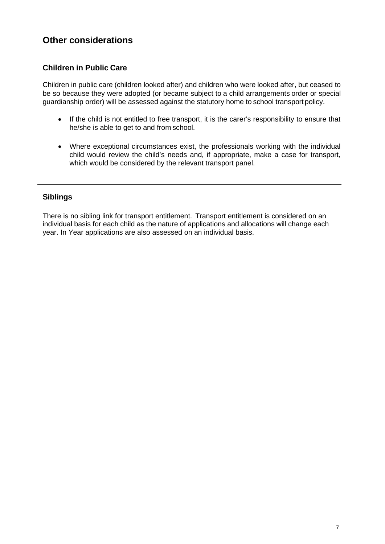# **Other considerations**

### **Children in Public Care**

 Children in public care (children looked after) and children who were looked after, but ceased to be so because they were adopted (or became subject to a child arrangements order or special guardianship order) will be assessed against the statutory home to school transport policy.

- If the child is not entitled to free transport, it is the carer's responsibility to ensure that he/she is able to get to and from school.
- Where exceptional circumstances exist, the professionals working with the individual child would review the child's needs and, if appropriate, make a case for transport, which would be considered by the relevant transport panel.

### **Siblings**

 There is no sibling link for transport entitlement. Transport entitlement is considered on an individual basis for each child as the nature of applications and allocations will change each year. In Year applications are also assessed on an individual basis.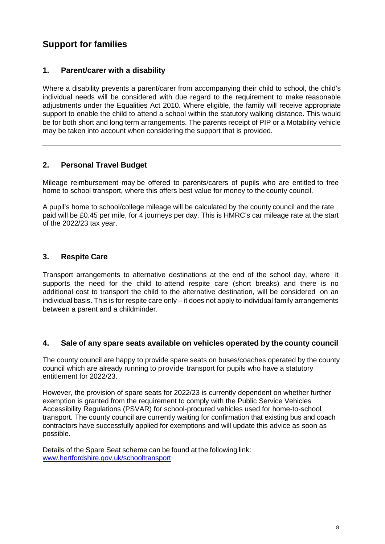# **Support for families**

### **1. Parent/carer with a disability**

 Where a disability prevents a parent/carer from accompanying their child to school, the child's individual needs will be considered with due regard to the requirement to make reasonable adjustments under the Equalities Act 2010. Where eligible, the family will receive appropriate support to enable the child to attend a school within the statutory walking distance. This would be for both short and long term arrangements. The parents receipt of PIP or a Motability vehicle may be taken into account when considering the support that is provided.

### **2. Personal Travel Budget**

 Mileage reimbursement may be offered to parents/carers of pupils who are entitled to free home to school transport, where this offers best value for money to the county council.

 A pupil's home to school/college mileage will be calculated by the county council and the rate paid will be £0.45 per mile, for 4 journeys per day. This is HMRC's car mileage rate at the start of the 2022/23 tax year.

#### $3.$ **3. Respite Care**

 Transport arrangements to alternative destinations at the end of the school day, where it supports the need for the child to attend respite care (short breaks) and there is no additional cost to transport the child to the alternative destination, will be considered on an individual basis. This is for respite care only – it does not apply to individual family arrangements between a parent and a childminder.

#### **4. Sale of any spare seats available on vehicles operated by the county council**

 The county council are happy to provide spare seats on buses/coaches operated by the county council which are already running to provide transport for pupils who have a statutory entitlement for 2022/23.

 However, the provision of spare seats for 2022/23 is currently dependent on whether further exemption is granted from the requirement to comply with the Public Service Vehicles Accessibility Regulations (PSVAR) for school-procured vehicles used for home-to-school transport. The county council are currently waiting for confirmation that existing bus and coach contractors have successfully applied for exemptions and will update this advice as soon as possible.

 Details of the Spare Seat scheme can be found at the following link: [www.hertfordshire.gov.uk/schooltransport](http://www.hertfordshire.gov.uk/schooltransport)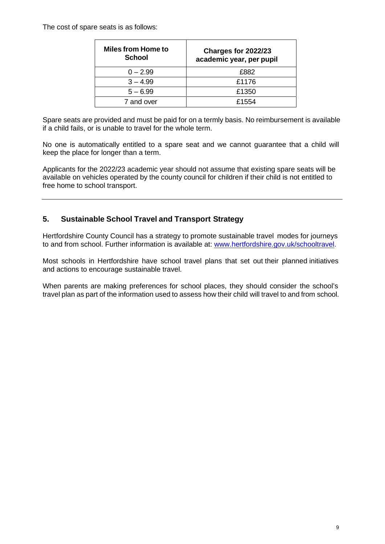The cost of spare seats is as follows:

| <b>Miles from Home to</b><br><b>School</b> | Charges for 2022/23<br>academic year, per pupil |
|--------------------------------------------|-------------------------------------------------|
| $0 - 2.99$                                 | £882                                            |
| $3 - 4.99$                                 | £1176                                           |
| $5 - 6.99$                                 | £1350                                           |
| 7 and over                                 | £1554                                           |

 Spare seats are provided and must be paid for on a termly basis. No reimbursement is available if a child fails, or is unable to travel for the whole term.

 No one is automatically entitled to a spare seat and we cannot guarantee that a child will keep the place for longer than a term.

 Applicants for the 2022/23 academic year should not assume that existing spare seats will be available on vehicles operated by the county council for children if their child is not entitled to free home to school transport.

### **5. Sustainable School Travel and Transport Strategy**

 Hertfordshire County Council has a strategy to promote sustainable travel modes for journeys to and from school. Further information is available at: www.hertfordshire.gov.uk/schooltravel.

 Most schools in Hertfordshire have school travel plans that set out their planned initiatives and actions to encourage sustainable travel.

 When parents are making preferences for school places, they should consider the school's travel plan as part of the information used to assess how their child will travel to and from school.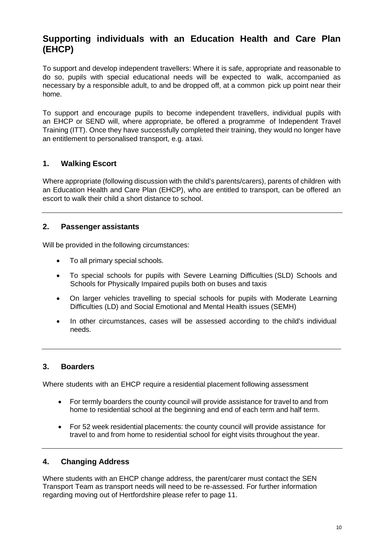# **Supporting individuals with an Education Health and Care Plan (EHCP)**

 To support and develop independent travellers: Where it is safe, appropriate and reasonable to do so, pupils with special educational needs will be expected to walk, accompanied as necessary by a responsible adult, to and be dropped off, at a common pick up point near their home.

 To support and encourage pupils to become independent travellers, individual pupils with an EHCP or SEND will, where appropriate, be offered a programme of Independent Travel Training (ITT). Once they have successfully completed their training, they would no longer have an entitlement to personalised transport, e.g. a taxi.

### **1. Walking Escort**

 Where appropriate (following discussion with the child's parents/carers), parents of children with an Education Health and Care Plan (EHCP), who are entitled to transport, can be offered an escort to walk their child a short distance to school.

### **2. Passenger assistants**

Will be provided in the following circumstances:

- $\bullet$ To all primary special schools.
- $\bullet$  Schools for Physically Impaired pupils both on buses and taxis To special schools for pupils with Severe Learning Difficulties (SLD) Schools and
- $\bullet$  Difficulties (LD) and Social Emotional and Mental Health issues (SEMH) On larger vehicles travelling to special schools for pupils with Moderate Learning
- $\bullet$  In other circumstances, cases will be assessed according to the child's individual needs.

### **3. Boarders**

Where students with an EHCP require a residential placement following assessment

- $\bullet$  home to residential school at the beginning and end of each term and half term. For termly boarders the county council will provide assistance for travel to and from
- $\bullet$  travel to and from home to residential school for eight visits throughout the year. For 52 week residential placements: the county council will provide assistance for

### **4. Changing Address**

 Where students with an EHCP change address, the parent/carer must contact the SEN Transport Team as transport needs will need to be re-assessed. For further information regarding moving out of Hertfordshire please refer to page 11.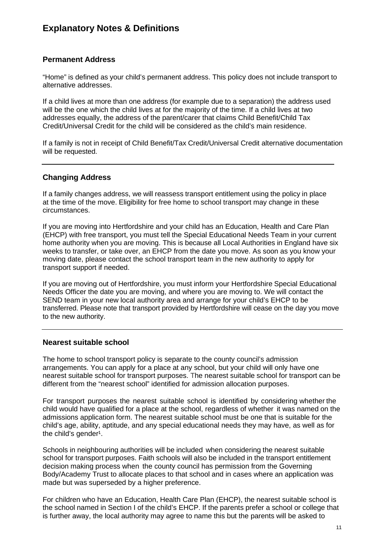# **Explanatory Notes & Definitions**

### **Permanent Address**

 "Home" is defined as your child's permanent address. This policy does not include transport to alternative addresses.

 If a child lives at more than one address (for example due to a separation) the address used will be the one which the child lives at for the majority of the time. If a child lives at two addresses equally, the address of the parent/carer that claims Child Benefit/Child Tax Credit/Universal Credit for the child will be considered as the child's main residence.

 If a family is not in receipt of Child Benefit/Tax Credit/Universal Credit alternative documentation will be requested.

### **Changing Address**

 If a family changes address, we will reassess transport entitlement using the policy in place at the time of the move. Eligibility for free home to school transport may change in these circumstances.

 If you are moving into Hertfordshire and your child has an Education, Health and Care Plan (EHCP) with free transport, you must tell the Special Educational Needs Team in your current home authority when you are moving. This is because all Local Authorities in England have six weeks to transfer, or take over, an EHCP from the date you move. As soon as you know your moving date, please contact the school transport team in the new authority to apply for transport support if needed.

 If you are moving out of Hertfordshire, you must inform your Hertfordshire Special Educational Needs Officer the date you are moving, and where you are moving to. We will contact the SEND team in your new local authority area and arrange for your child's EHCP to be transferred. Please note that transport provided by Hertfordshire will cease on the day you move to the new authority.

### **Nearest suitable school**

 The home to school transport policy is separate to the county council's admission arrangements. You can apply for a place at any school, but your child will only have one nearest suitable school for transport purposes. The nearest suitable school for transport can be different from the "nearest school" identified for admission allocation purposes.

 For transport purposes the nearest suitable school is identified by considering whether the child would have qualified for a place at the school, regardless of whether it was named on the admissions application form. The nearest suitable school must be one that is suitable for the child's age, ability, aptitude, and any special educational needs they may have, as well as for the child's gender<sup>1</sup>.

 Schools in neighbouring authorities will be included when considering the nearest suitable school for transport purposes. Faith schools will also be included in the transport entitlement decision making process when the county council has permission from the Governing Body/Academy Trust to allocate places to that school and in cases where an application was made but was superseded by a higher preference.

 For children who have an Education, Health Care Plan (EHCP), the nearest suitable school is the school named in Section I of the child's EHCP. If the parents prefer a school or college that is further away, the local authority may agree to name this but the parents will be asked to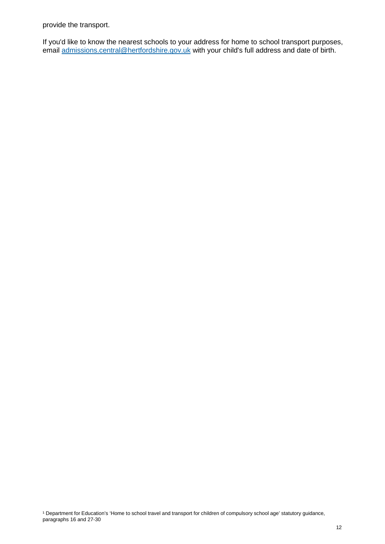provide the transport.

 If you'd like to know the nearest schools to your address for home to school transport purposes, email [admissions.central@hertfordshire.gov.uk](mailto:transfer.admissions@hertfordshire.gov.uk) with your child's full address and date of birth.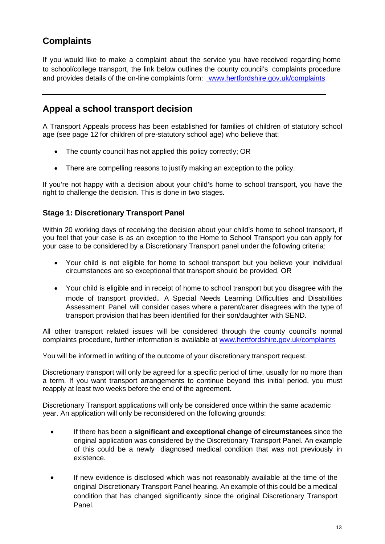# **Complaints**

 If you would like to make a complaint about the service you have received regarding home to school/college transport, the link below outlines the county council's complaints procedure and provides details of the on-line complaints form: www.hertfordshire.gov.uk/complaints

# **Appeal a school transport decision**

 A Transport Appeals process has been established for families of children of statutory school age (see page 12 for children of pre-statutory school age) who believe that:

- The county council has not applied this policy correctly; OR
- There are compelling reasons to justify making an exception to the policy.

 If you're not happy with a decision about your child's home to school transport, you have the right to challenge the decision. This is done in two stages.

### **Stage 1: Discretionary Transport Panel**

 Within 20 working days of receiving the decision about your child's home to school transport, if you feel that your case is as an exception to the Home to School Transport you can apply for your case to be considered by a Discretionary Transport panel under the following criteria:

- circumstances are so exceptional that transport should be provided, OR Your child is not eligible for home to school transport but you believe your individual
- Your child is eligible and in receipt of home to school transport but you disagree with the mode of transport provided. A Special Needs Learning Difficulties and Disabilities Assessment Panel will consider cases where a parent/carer disagrees with the type of transport provision that has been identified for their son/daughter with SEND.

 All other transport related issues will be considered through the county council's normal complaints procedure, further information is available at www.hertfordshire.gov.uk/complaints

You will be informed in writing of the outcome of your discretionary transport request.

 Discretionary transport will only be agreed for a specific period of time, usually for no more than a term. If you want transport arrangements to continue beyond this initial period, you must reapply at least two weeks before the end of the agreement.

 Discretionary Transport applications will only be considered once within the same academic year. An application will only be reconsidered on the following grounds:

- If there has been a **significant and exceptional change of circumstances** since the original application was considered by the Discretionary Transport Panel. An example of this could be a newly diagnosed medical condition that was not previously in existence.
- If new evidence is disclosed which was not reasonably available at the time of the original Discretionary Transport Panel hearing. An example of this could be a medical condition that has changed significantly since the original Discretionary Transport Panel.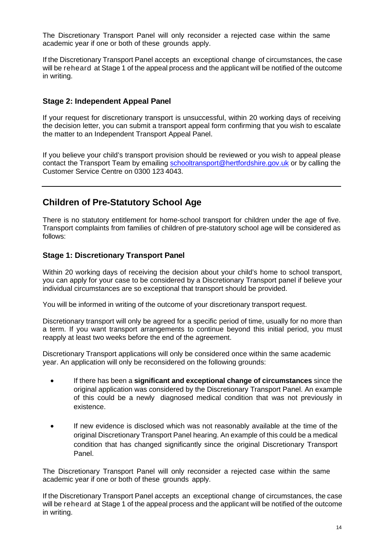The Discretionary Transport Panel will only reconsider a rejected case within the same academic year if one or both of these grounds apply.

 If the Discretionary Transport Panel accepts an exceptional change of circumstances, the case will be reheard at Stage 1 of the appeal process and the applicant will be notified of the outcome in writing.

### **Stage 2: Independent Appeal Panel**

 If your request for discretionary transport is unsuccessful, within 20 working days of receiving the decision letter, you can submit a transport appeal form confirming that you wish to escalate the matter to an Independent Transport Appeal Panel.

 If you believe your child's transport provision should be reviewed or you wish to appeal please contact the Transport Team by emailing **schooltransport@hertfordshire.gov.uk** or by calling the Customer Service Centre on 0300 123 4043.

# **Children of Pre-Statutory School Age**

 There is no statutory entitlement for home-school transport for children under the age of five. Transport complaints from families of children of pre-statutory school age will be considered as follows:

### **Stage 1: Discretionary Transport Panel**

 Within 20 working days of receiving the decision about your child's home to school transport, you can apply for your case to be considered by a Discretionary Transport panel if believe your individual circumstances are so exceptional that transport should be provided.

You will be informed in writing of the outcome of your discretionary transport request.

 Discretionary transport will only be agreed for a specific period of time, usually for no more than a term. If you want transport arrangements to continue beyond this initial period, you must reapply at least two weeks before the end of the agreement.

 Discretionary Transport applications will only be considered once within the same academic year. An application will only be reconsidered on the following grounds:

- If there has been a **significant and exceptional change of circumstances** since the original application was considered by the Discretionary Transport Panel. An example of this could be a newly diagnosed medical condition that was not previously in existence.
- If new evidence is disclosed which was not reasonably available at the time of the original Discretionary Transport Panel hearing. An example of this could be a medical condition that has changed significantly since the original Discretionary Transport Panel.

 The Discretionary Transport Panel will only reconsider a rejected case within the same academic year if one or both of these grounds apply.

 If the Discretionary Transport Panel accepts an exceptional change of circumstances, the case will be reheard at Stage 1 of the appeal process and the applicant will be notified of the outcome in writing.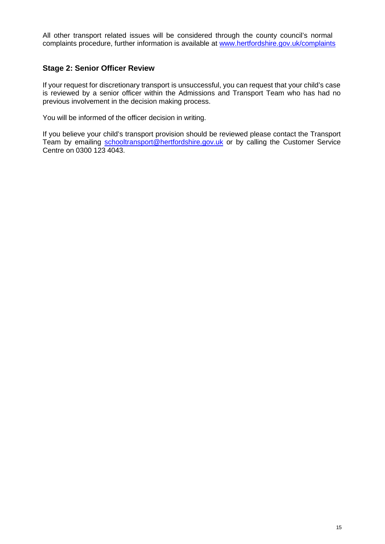All other transport related issues will be considered through the county council's normal complaints procedure, further information is available at www.hertfordshire.gov.uk/complaints

### **Stage 2: Senior Officer Review**

 If your request for discretionary transport is unsuccessful, you can request that your child's case is reviewed by a senior officer within the Admissions and Transport Team who has had no previous involvement in the decision making process.

You will be informed of the officer decision in writing.

 If you believe your child's transport provision should be reviewed please contact the Transport Team by emailing [schooltransport@hertfordshire.gov.uk](mailto:schooltransport@hertfordshire.gov.uk) or by calling the Customer Service Centre on 0300 123 4043.